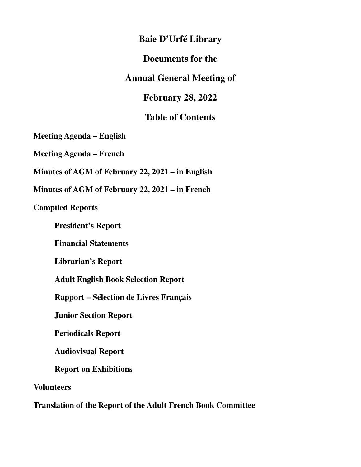### **Baie D'Urfé Library**

### **Documents for the**

### **Annual General Meeting of**

**February 28, 2022** 

### **Table of Contents**

**Meeting Agenda – English** 

**Meeting Agenda – French** 

**Minutes of AGM of February 22, 2021 – in English** 

**Minutes of AGM of February 22, 2021 – in French** 

### **Compiled Reports**

 **President's Report** 

 **Financial Statements** 

 **Librarian's Report** 

 **Adult English Book Selection Report** 

 **Rapport – Sélection de Livres Français** 

 **Junior Section Report** 

 **Periodicals Report** 

 **Audiovisual Report** 

 **Report on Exhibitions** 

**Volunteers** 

**Translation of the Report of the Adult French Book Committee**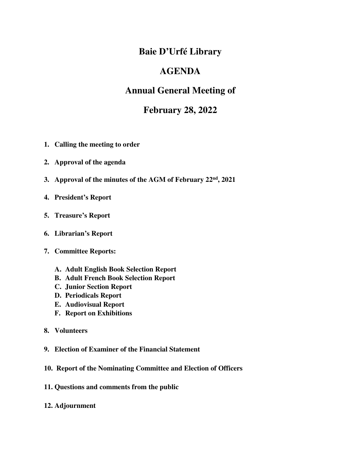### **Baie D'Urfé Library**

### **AGENDA**

### **Annual General Meeting of**

### **February 28, 2022**

- **1. Calling the meeting to order**
- **2. Approval of the agenda**
- **3. Approval of the minutes of the AGM of February 22nd, 2021**
- **4. President's Report**
- **5. Treasure's Report**
- **6. Librarian's Report**
- **7. Committee Reports:** 
	- **A. Adult English Book Selection Report**
	- **B. Adult French Book Selection Report**
	- **C. Junior Section Report**
	- **D. Periodicals Report**
	- **E. Audiovisual Report**
	- **F. Report on Exhibitions**
- **8. Volunteers**
- **9. Election of Examiner of the Financial Statement**
- **10. Report of the Nominating Committee and Election of Officers**
- **11. Questions and comments from the public**
- **12. Adjournment**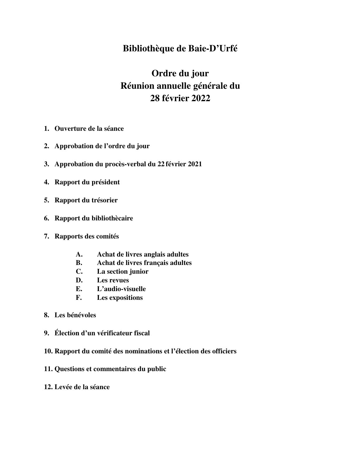### **Bibliothèque de Baie-D'Urfé**

## **Ordre du jour Réunion annuelle générale du 28 février 2022**

- **1. Ouverture de la séance**
- **2. Approbation de l'ordre du jour**
- **3. Approbation du procès-verbal du 22 février 2021**
- **4. Rapport du président**
- **5. Rapport du trésorier**
- **6. Rapport du bibliothècaire**
- **7. Rapports des comités** 
	- **A. Achat de livres anglais adultes**
	- **B. Achat de livres français adultes**
	- **C. La section junior**
	- **D. Les revues**
	- **E. L'audio-visuelle**
	- **F. Les expositions**
- **8. Les bénévoles**
- **9. Élection d'un vérificateur fiscal**
- **10. Rapport du comité des nominations et l'élection des officiers**
- **11. Questions et commentaires du public**
- **12. Levée de la séance**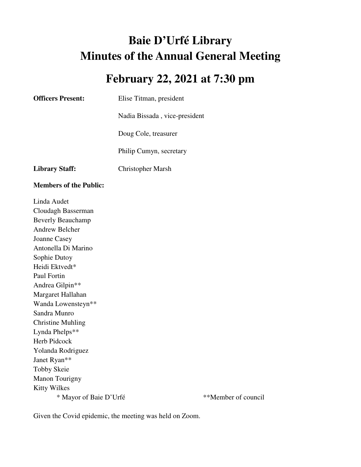# **Baie D'Urfé Library Minutes of the Annual General Meeting**

# **February 22, 2021 at 7:30 pm**

| <b>Officers Present:</b>      | Elise Titman, president       |  |  |
|-------------------------------|-------------------------------|--|--|
|                               | Nadia Bissada, vice-president |  |  |
|                               | Doug Cole, treasurer          |  |  |
|                               | Philip Cumyn, secretary       |  |  |
| <b>Library Staff:</b>         | Christopher Marsh             |  |  |
|                               |                               |  |  |
| <b>Members of the Public:</b> |                               |  |  |
| Linda Audet                   |                               |  |  |
| Cloudagh Basserman            |                               |  |  |
| <b>Beverly Beauchamp</b>      |                               |  |  |
| Andrew Belcher                |                               |  |  |
| Joanne Casey                  |                               |  |  |

Sophie Dutoy Heidi Ektvedt\* Paul Fortin Andrea Gilpin\*\* Margaret Hallahan Wanda Lowensteyn\*\* Sandra Munro Christine Muhling Lynda Phelps\*\* Herb Pidcock Yolanda Rodriguez Janet Ryan\*\* Tobby Skeie Manon Tourigny Kitty Wilkes \* Mayor of Baie D'Urfé \*\*Member of council

Given the Covid epidemic, the meeting was held on Zoom.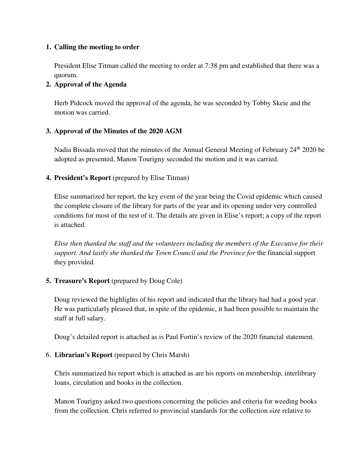### **1. Calling the meeting to order**

President Elise Titman called the meeting to order at 7:38 pm and established that there was a quorum.

### **2. Approval of the Agenda**

Herb Pidcock moved the approval of the agenda, he was seconded by Tobby Skeie and the motion was carried.

### **3. Approval of the Minutes of the 2020 AGM**

Nadia Bissada moved that the minutes of the Annual General Meeting of February 24<sup>th</sup> 2020 be adopted as presented, Manon Tourigny seconded the motion and it was carried.

### **4. President's Report** (prepared by Elise Titman)

Elise summarized her report, the key event of the year being the Covid epidemic which caused the complete closure of the library for parts of the year and its opening under very controlled conditions for most of the rest of it. The details are given in Elise's report; a copy of the report is attached.

*Elise then thanked the staff and the volunteers including the members of the Executive for their support. And lastly she thanked the Town Council and the Province for* the financial support they provided.

### **5. Treasure's Report** (prepared by Doug Cole)

Doug reviewed the highlights of his report and indicated that the library had had a good year. He was particularly pleased that, in spite of the epidemic, it had been possible to maintain the staff at full salary.

Doug's detailed report is attached as is Paul Fortin's review of the 2020 financial statement.

### 6. **Librarian's Report** (prepared by Chris Marsh)

Chris summarized his report which is attached as are his reports on membership, interlibrary loans, circulation and books in the collection.

Manon Tourigny asked two questions concerning the policies and criteria for weeding books from the collection. Chris referred to provincial standards for the collection size relative to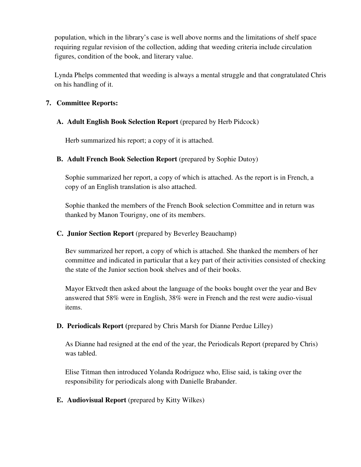population, which in the library's case is well above norms and the limitations of shelf space requiring regular revision of the collection, adding that weeding criteria include circulation figures, condition of the book, and literary value.

Lynda Phelps commented that weeding is always a mental struggle and that congratulated Chris on his handling of it.

### **7. Committee Reports:**

### **A. Adult English Book Selection Report** (prepared by Herb Pidcock)

Herb summarized his report; a copy of it is attached.

### **B. Adult French Book Selection Report** (prepared by Sophie Dutoy)

Sophie summarized her report, a copy of which is attached. As the report is in French, a copy of an English translation is also attached.

Sophie thanked the members of the French Book selection Committee and in return was thanked by Manon Tourigny, one of its members.

### **C. Junior Section Report** (prepared by Beverley Beauchamp)

Bev summarized her report, a copy of which is attached. She thanked the members of her committee and indicated in particular that a key part of their activities consisted of checking the state of the Junior section book shelves and of their books.

Mayor Ektvedt then asked about the language of the books bought over the year and Bev answered that 58% were in English, 38% were in French and the rest were audio-visual items.

### **D. Periodicals Report (**prepared by Chris Marsh for Dianne Perdue Lilley)

As Dianne had resigned at the end of the year, the Periodicals Report (prepared by Chris) was tabled.

Elise Titman then introduced Yolanda Rodriguez who, Elise said, is taking over the responsibility for periodicals along with Danielle Brabander.

### **E. Audiovisual Report** (prepared by Kitty Wilkes)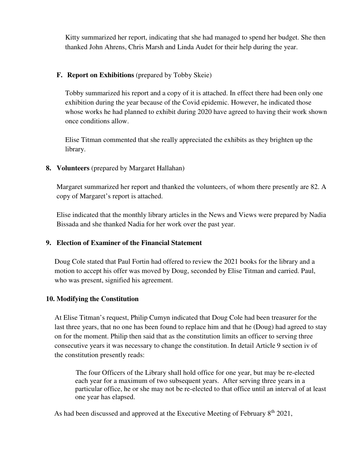Kitty summarized her report, indicating that she had managed to spend her budget. She then thanked John Ahrens, Chris Marsh and Linda Audet for their help during the year.

### **F. Report on Exhibitions** (prepared by Tobby Skeie)

Tobby summarized his report and a copy of it is attached. In effect there had been only one exhibition during the year because of the Covid epidemic. However, he indicated those whose works he had planned to exhibit during 2020 have agreed to having their work shown once conditions allow.

Elise Titman commented that she really appreciated the exhibits as they brighten up the library.

### **8. Volunteers** (prepared by Margaret Hallahan)

Margaret summarized her report and thanked the volunteers, of whom there presently are 82. A copy of Margaret's report is attached.

Elise indicated that the monthly library articles in the News and Views were prepared by Nadia Bissada and she thanked Nadia for her work over the past year.

### **9. Election of Examiner of the Financial Statement**

Doug Cole stated that Paul Fortin had offered to review the 2021 books for the library and a motion to accept his offer was moved by Doug, seconded by Elise Titman and carried. Paul, who was present, signified his agreement.

### **10. Modifying the Constitution**

At Elise Titman's request, Philip Cumyn indicated that Doug Cole had been treasurer for the last three years, that no one has been found to replace him and that he (Doug) had agreed to stay on for the moment. Philip then said that as the constitution limits an officer to serving three consecutive years it was necessary to change the constitution. In detail Article 9 section iv of the constitution presently reads:

 The four Officers of the Library shall hold office for one year, but may be re-elected each year for a maximum of two subsequent years. After serving three years in a particular office, he or she may not be re-elected to that office until an interval of at least one year has elapsed.

As had been discussed and approved at the Executive Meeting of February 8<sup>th</sup> 2021,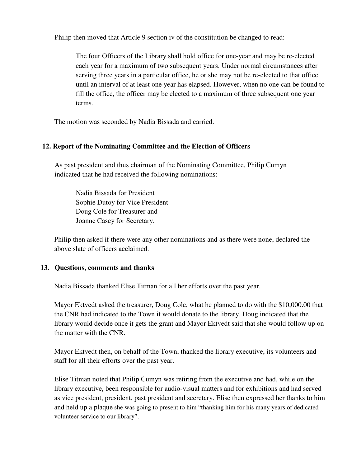Philip then moved that Article 9 section iv of the constitution be changed to read:

The four Officers of the Library shall hold office for one-year and may be re-elected each year for a maximum of two subsequent years. Under normal circumstances after serving three years in a particular office, he or she may not be re-elected to that office until an interval of at least one year has elapsed. However, when no one can be found to fill the office, the officer may be elected to a maximum of three subsequent one year terms.

The motion was seconded by Nadia Bissada and carried.

### **12. Report of the Nominating Committee and the Election of Officers**

 As past president and thus chairman of the Nominating Committee, Philip Cumyn indicated that he had received the following nominations:

 Nadia Bissada for President Sophie Dutoy for Vice President Doug Cole for Treasurer and Joanne Casey for Secretary.

Philip then asked if there were any other nominations and as there were none, declared the above slate of officers acclaimed.

### **13. Questions, comments and thanks**

Nadia Bissada thanked Elise Titman for all her efforts over the past year.

 Mayor Ektvedt asked the treasurer, Doug Cole, what he planned to do with the \$10,000.00 that the CNR had indicated to the Town it would donate to the library. Doug indicated that the library would decide once it gets the grant and Mayor Ektvedt said that she would follow up on the matter with the CNR.

 Mayor Ektvedt then, on behalf of the Town, thanked the library executive, its volunteers and staff for all their efforts over the past year.

 Elise Titman noted that Philip Cumyn was retiring from the executive and had, while on the library executive, been responsible for audio-visual matters and for exhibitions and had served as vice president, president, past president and secretary. Elise then expressed her thanks to him and held up a plaque she was going to present to him "thanking him for his many years of dedicated volunteer service to our library".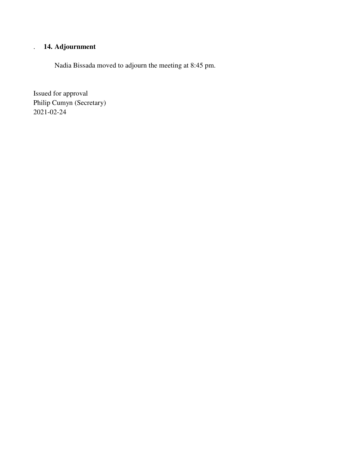### . **14. Adjournment**

Nadia Bissada moved to adjourn the meeting at 8:45 pm.

Issued for approval Philip Cumyn (Secretary) 2021-02-24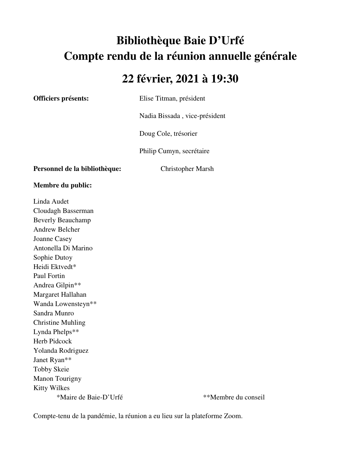# **Bibliothèque Baie D'Urfé Compte rendu de la réunion annuelle générale**

# **22 février, 2021 à 19:30**

**Officiers présents:** Elise Titman, président

Nadia Bissada , vice-président

Doug Cole, trésorier

Philip Cumyn, secrétaire

**Personnel de la bibliothèque:** Christopher Marsh

**Membre du public:** 

Linda Audet Cloudagh Basserman Beverly Beauchamp Andrew Belcher Joanne Casey Antonella Di Marino Sophie Dutoy Heidi Ektvedt\* Paul Fortin Andrea Gilpin\*\* Margaret Hallahan Wanda Lowensteyn\*\* Sandra Munro Christine Muhling Lynda Phelps\*\* Herb Pidcock Yolanda Rodriguez Janet Ryan\*\* Tobby Skeie Manon Tourigny Kitty Wilkes \*Maire de Baie-D'Urfé \*\*Membre du conseil

Compte-tenu de la pandémie, la réunion a eu lieu sur la plateforme Zoom.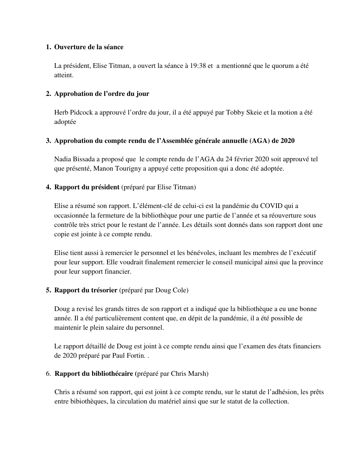### **1. Ouverture de la séance**

La président, Elise Titman, a ouvert la séance à 19:38 et a mentionné que le quorum a été atteint.

### **2. Approbation de l'ordre du jour**

Herb Pidcock a approuvé l'ordre du jour, il a été appuyé par Tobby Skeie et la motion a été adoptée

### **3. Approbation du compte rendu de l'Assemblée générale annuelle (AGA) de 2020**

Nadia Bissada a proposé que le compte rendu de l'AGA du 24 février 2020 soit approuvé tel que présenté, Manon Tourigny a appuyé cette proposition qui a donc été adoptée.

### **4. Rapport du président** (préparé par Elise Titman)

Elise a résumé son rapport. L'élément-clé de celui-ci est la pandémie du COVID qui a occasionnée la fermeture de la bibliothèque pour une partie de l'année et sa réouverture sous contrôle très strict pour le restant de l'année. Les détails sont donnés dans son rapport dont une copie est jointe à ce compte rendu.

Elise tient aussi à remercier le personnel et les bénévoles, incluant les membres de l'exécutif pour leur support. Elle voudrait finalement remercier le conseil municipal ainsi que la province pour leur support financier.

### **5. Rapport du trésorier** (préparé par Doug Cole)

Doug a revisé les grands titres de son rapport et a indiqué que la bibliothèque a eu une bonne année. Il a été particulièrement content que, en dépit de la pandémie, il a été possible de maintenir le plein salaire du personnel.

Le rapport détaillé de Doug est joint à ce compte rendu ainsi que l'examen des états financiers de 2020 préparé par Paul Fortin. .

### 6. **Rapport du bibliothécaire (**préparé par Chris Marsh)

Chris a résumé son rapport, qui est joint à ce compte rendu, sur le statut de l'adhésion, les prêts entre bibiothèques, la circulation du matériel ainsi que sur le statut de la collection.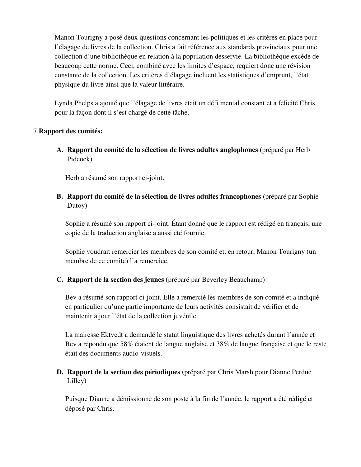Manon Tourigny a posé deux questions concernant les politiques et les critères en place pour l'élagage de livres de la collection. Chris a fait référence aux standards provinciaux pour une collection d'une bibliothèque en relation à la population desservie. La bibliothèque excède de beaucoup cette norme. Ceci, combiné avec les limites d'espace, requiert donc une révision constante de la collection. Les critères d'élagage incluent les statistiques d'emprunt, l'état physique du livre ainsi que la valeur littéraire.

Lynda Phelps a ajouté que l'élagage de livres était un défi mental constant et a félicité Chris pour la façon dont il s'est chargé de cette tâche.

### 7.**Rapport des comités:**

**A. Rapport du comité de la sélection de livres adultes anglophones** (préparé par Herb Pidcock)

Herb a résumé son rapport ci-joint.

**B. Rapport du comité de la sélection de livres adultes francophones** (préparé par Sophie Dutoy)

Sophie a résumé son rapport ci-joint. Étant donné que le rapport est rédigé en français, une copie de la traduction anglaise a aussi été fournie.

Sophie voudrait remercier les membres de son comité et, en retour, Manon Tourigny (un membre de ce comité) l'a remerciée.

### **C. Rapport de la section des jeunes** (préparé par Beverley Beauchamp)

Bev a résumé son rapport ci-joint. Elle a remercié les membres de son comité et a indiqué en particulier qu'une partie importante de leurs activités consistait de vérifier et de maintenir à jour l'état de la collection juvénile.

La mairesse Ektvedt a demandé le statut linguistique des livres achetés durant l'année et Bev a répondu que 58% étaient de langue anglaise et 38% de langue française et que le reste était des documents audio-visuels.

### **D. Rapport de la section des périodiques (**préparé par Chris Marsh pour Dianne Perdue Lilley)

Puisque Dianne a démissionné de son poste à la fin de l'année, le rapport a été rédigé et déposé par Chris.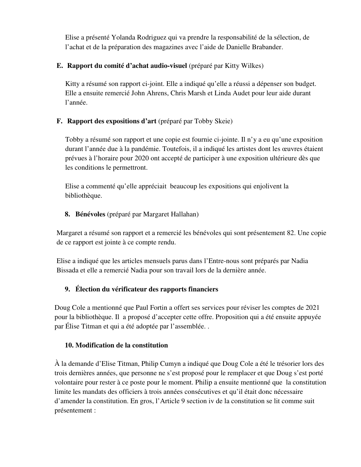Elise a présenté Yolanda Rodriguez qui va prendre la responsabilité de la sélection, de l'achat et de la préparation des magazines avec l'aide de Danielle Brabander.

### **E. Rapport du comité d'achat audio-visuel** (préparé par Kitty Wilkes)

Kitty a résumé son rapport ci-joint. Elle a indiqué qu'elle a réussi a dépenser son budget. Elle a ensuite remercié John Ahrens, Chris Marsh et Linda Audet pour leur aide durant l'année.

### **F. Rapport des expositions d'art** (préparé par Tobby Skeie)

Tobby a résumé son rapport et une copie est fournie ci-jointe. Il n'y a eu qu'une exposition durant l'année due à la pandémie. Toutefois, il a indiqué les artistes dont les œuvres étaient prévues à l'horaire pour 2020 ont accepté de participer à une exposition ultérieure dès que les conditions le permettront.

Elise a commenté qu'elle appréciait beaucoup les expositions qui enjolivent la bibliothèque.

### **8. Bénévoles** (préparé par Margaret Hallahan)

Margaret a résumé son rapport et a remercié les bénévoles qui sont présentement 82. Une copie de ce rapport est jointe à ce compte rendu.

Elise a indiqué que les articles mensuels parus dans l'Entre-nous sont préparés par Nadia Bissada et elle a remercié Nadia pour son travail lors de la dernière année.

### **9. Élection du vérificateur des rapports financiers**

Doug Cole a mentionné que Paul Fortin a offert ses services pour réviser les comptes de 2021 pour la bibliothèque. Il a proposé d'accepter cette offre. Proposition qui a été ensuite appuyée par Élise Titman et qui a été adoptée par l'assemblée. .

### **10. Modification de la constitution**

À la demande d'Elise Titman, Philip Cumyn a indiqué que Doug Cole a été le trésorier lors des trois dernières années, que personne ne s'est proposé pour le remplacer et que Doug s'est porté volontaire pour rester à ce poste pour le moment. Philip a ensuite mentionné que la constitution limite les mandats des officiers à trois années consécutives et qu'il était donc nécessaire d'amender la constitution. En gros, l'Article 9 section iv de la constitution se lit comme suit présentement :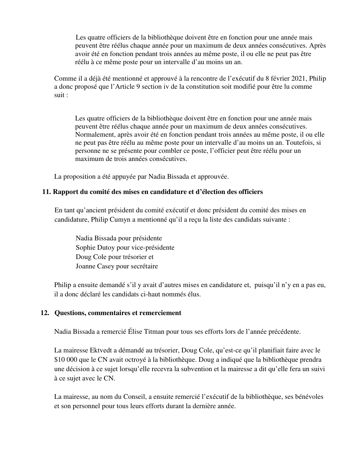Les quatre officiers de la bibliothèque doivent être en fonction pour une année mais peuvent être réélus chaque année pour un maximum de deux années consécutives. Après avoir été en fonction pendant trois années au même poste, il ou elle ne peut pas être réélu à ce même poste pour un intervalle d'au moins un an.

Comme il a déjà été mentionné et approuvé à la rencontre de l'exécutif du 8 février 2021, Philip a donc proposé que l'Article 9 section iv de la constitution soit modifié pour être lu comme suit :

Les quatre officiers de la bibliothèque doivent être en fonction pour une année mais peuvent être réélus chaque année pour un maximum de deux années consécutives. Normalement, après avoir été en fonction pendant trois années au même poste, il ou elle ne peut pas être réélu au même poste pour un intervalle d'au moins un an. Toutefois, si personne ne se présente pour combler ce poste, l'officier peut être réélu pour un maximum de trois années consécutives.

La proposition a été appuyée par Nadia Bissada et approuvée.

### **11. Rapport du comité des mises en candidature et d'élection des officiers**

 En tant qu'ancient président du comité exécutif et donc président du comité des mises en candidature, Philip Cumyn a mentionné qu'il a reçu la liste des candidats suivante :

 Nadia Bissada pour présidente Sophie Dutoy pour vice-présidente Doug Cole pour trésorier et Joanne Casey pour secrétaire

Philip a ensuite demandé s'il y avait d'autres mises en candidature et, puisqu'il n'y en a pas eu, il a donc déclaré les candidats ci-haut nommés élus.

### **12. Questions, commentaires et remerciement**

Nadia Bissada a remercié Élise Titman pour tous ses efforts lors de l'année précédente.

 La mairesse Ektvedt a démandé au trésorier, Doug Cole, qu'est-ce qu'il planifiait faire avec le \$10 000 que le CN avait octroyé à la bibliothèque. Doug a indiqué que la bibliothèque prendra une décision à ce sujet lorsqu'elle recevra la subvention et la mairesse a dit qu'elle fera un suivi à ce sujet avec le CN.

 La mairesse, au nom du Conseil, a ensuite remercié l'exécutif de la bibliothèque, ses bénévoles et son personnel pour tous leurs efforts durant la dernière année.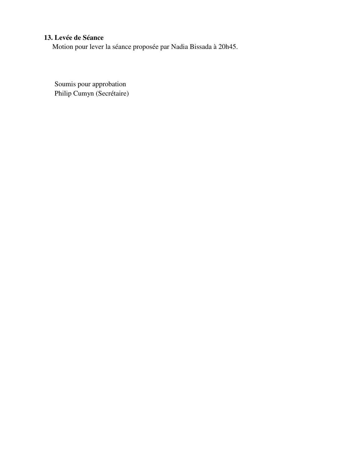### **13. Levée de Séance**

Motion pour lever la séance proposée par Nadia Bissada à 20h45.

 Soumis pour approbation Philip Cumyn (Secrétaire)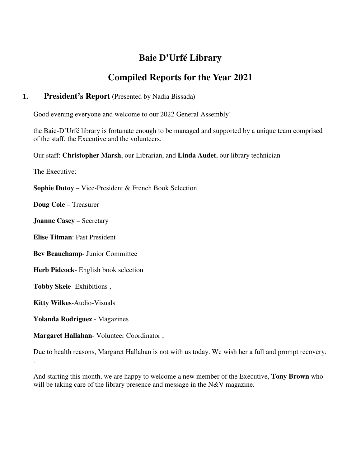### **Baie D'Urfé Library**

### **Compiled Reports for the Year 2021**

### **1. President's Report (**Presented by Nadia Bissada)

Good evening everyone and welcome to our 2022 General Assembly!

the Baie-D'Urfé library is fortunate enough to be managed and supported by a unique team comprised of the staff, the Executive and the volunteers.

Our staff: **Christopher Marsh**, our Librarian, and **Linda Audet**, our library technician

The Executive:

**Sophie Dutoy** – Vice-President & French Book Selection

**Doug Cole** – Treasurer

**Joanne Casey** – Secretary

**Elise Titman**: Past President

**Bev Beauchamp**- Junior Committee

**Herb Pidcock**- English book selection

**Tobby Skeie**- Exhibitions ,

**Kitty Wilkes**-Audio-Visuals

.

**Yolanda Rodriguez** - Magazines

**Margaret Hallahan**- Volunteer Coordinator ,

Due to health reasons, Margaret Hallahan is not with us today. We wish her a full and prompt recovery.

And starting this month, we are happy to welcome a new member of the Executive, **Tony Brown** who will be taking care of the library presence and message in the N&V magazine.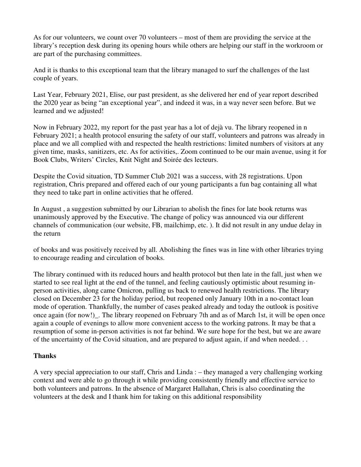As for our volunteers, we count over 70 volunteers – most of them are providing the service at the library's reception desk during its opening hours while others are helping our staff in the workroom or are part of the purchasing committees.

And it is thanks to this exceptional team that the library managed to surf the challenges of the last couple of years.

Last Year, February 2021, Elise, our past president, as she delivered her end of year report described the 2020 year as being "an exceptional year", and indeed it was, in a way never seen before. But we learned and we adjusted!

Now in February 2022, my report for the past year has a lot of dejà vu. The library reopened in n February 2021; a health protocol ensuring the safety of our staff, volunteers and patrons was already in place and we all complied with and respected the health restrictions: limited numbers of visitors at any given time, masks, sanitizers, etc. As for activities,. Zoom continued to be our main avenue, using it for Book Clubs, Writers' Circles, Knit Night and Soirée des lecteurs.

Despite the Covid situation, TD Summer Club 2021 was a success, with 28 registrations. Upon registration, Chris prepared and offered each of our young participants a fun bag containing all what they need to take part in online activities that he offered.

In August , a suggestion submitted by our Librarian to abolish the fines for late book returns was unanimously approved by the Executive. The change of policy was announced via our different channels of communication (our website, FB, mailchimp, etc. ). It did not result in any undue delay in the return

of books and was positively received by all. Abolishing the fines was in line with other libraries trying to encourage reading and circulation of books.

The library continued with its reduced hours and health protocol but then late in the fall, just when we started to see real light at the end of the tunnel, and feeling cautiously optimistic about resuming inperson activities, along came Omicron, pulling us back to renewed health restrictions. The library closed on December 23 for the holiday period, but reopened only January 10th in a no-contact loan mode of operation. Thankfully, the number of cases peaked already and today the outlook is positive once again (for now!)\_. The library reopened on February 7th and as of March 1st, it will be open once again a couple of evenings to allow more convenient access to the working patrons. It may be that a resumption of some in-person activities is not far behind. We sure hope for the best, but we are aware of the uncertainty of the Covid situation, and are prepared to adjust again, if and when needed. . .

### **Thanks**

A very special appreciation to our staff, Chris and Linda : – they managed a very challenging working context and were able to go through it while providing consistently friendly and effective service to both volunteers and patrons. In the absence of Margaret Hallahan, Chris is also coordinating the volunteers at the desk and I thank him for taking on this additional responsibility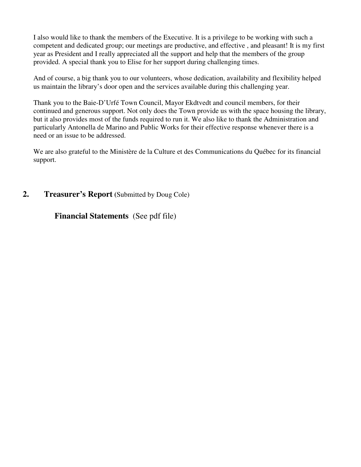I also would like to thank the members of the Executive. It is a privilege to be working with such a competent and dedicated group; our meetings are productive, and effective , and pleasant! It is my first year as President and I really appreciated all the support and help that the members of the group provided. A special thank you to Elise for her support during challenging times.

And of course, a big thank you to our volunteers, whose dedication, availability and flexibility helped us maintain the library's door open and the services available during this challenging year.

Thank you to the Baie-D'Urfé Town Council, Mayor Ekdtvedt and council members, for their continued and generous support. Not only does the Town provide us with the space housing the library, but it also provides most of the funds required to run it. We also like to thank the Administration and particularly Antonella de Marino and Public Works for their effective response whenever there is a need or an issue to be addressed.

We are also grateful to the Ministère de la Culture et des Communications du Québec for its financial support.

### **2. Treasurer's Report (**Submitted by Doug Cole)

**Financial Statements** (See pdf file)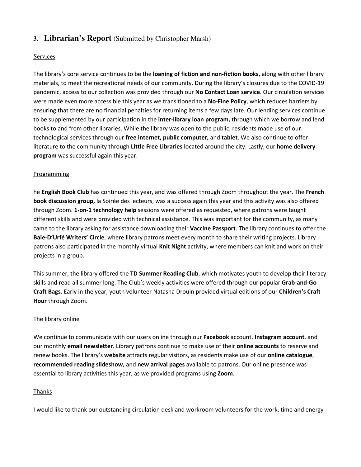### **3. Librarian's Report** (Submitted by Christopher Marsh)

### **Services**

The library's core service continues to be the **loaning of fiction and non-fiction books**, along with other library materials, to meet the recreational needs of our community. During the library's closures due to the COVID-19 pandemic, access to our collection was provided through our **No Contact Loan service**. Our circulation services were made even more accessible this year as we transitioned to a **No-Fine Policy**, which reduces barriers by ensuring that there are no financial penalties for returning items a few days late. Our lending services continue to be supplemented by our participation in the **inter-library loan program,** through which we borrow and lend books to and from other libraries. While the library was open to the public, residents made use of our technological services through our **free internet, public computer,** and **tablet**. We also continue to offer literature to the community through **Little Free Libraries** located around the city. Lastly, our **home delivery program** was successful again this year.

### Programming

he **English Book Club** has continued this year, and was offered through Zoom throughout the year. The **French book discussion group,** la Soirée des lecteurs, was a success again this year and this activity was also offered through Zoom. **1-on-1 technology help** sessions were offered as requested, where patrons were taught different skills and were provided with technical assistance. This was important for the community, as many came to the library asking for assistance downloading their **Vaccine Passport**. The library continues to offer the **Baie-D'Urfé Writers' Circle**, where library patrons meet every month to share their writing projects. Library patrons also participated in the monthly virtual **Knit Night** activity, where members can knit and work on their projects in a group.

This summer, the library offered the **TD Summer Reading Club**, which motivates youth to develop their literacy skills and read all summer long. The Club's weekly activities were offered through our popular **Grab-and-Go Craft Bags**. Early in the year, youth volunteer Natasha Drouin provided virtual editions of our **Children's Craft Hour** through Zoom.

### The library online

We continue to communicate with our users online through our **Facebook** account, **Instagram account**, and our monthly **email newsletter**. Library patrons continue to make use of their **online accounts** to reserve and renew books. The library's **website** attracts regular visitors, as residents make use of our **online catalogue**, **recommended reading slideshow,** and **new arrival pages** available to patrons. Our online presence was essential to library activities this year, as we provided programs using **Zoom**.

### Thanks

I would like to thank our outstanding circulation desk and workroom volunteers for the work, time and energy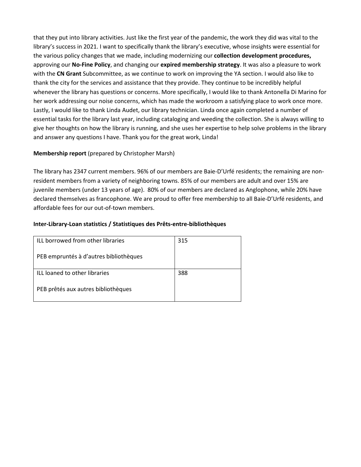that they put into library activities. Just like the first year of the pandemic, the work they did was vital to the library's success in 2021. I want to specifically thank the library's executive, whose insights were essential for the various policy changes that we made, including modernizing our **collection development procedures,** approving our **No-Fine Policy**, and changing our **expired membership strategy**. It was also a pleasure to work with the **CN Grant** Subcommittee, as we continue to work on improving the YA section. I would also like to thank the city for the services and assistance that they provide. They continue to be incredibly helpful whenever the library has questions or concerns. More specifically, I would like to thank Antonella Di Marino for her work addressing our noise concerns, which has made the workroom a satisfying place to work once more. Lastly, I would like to thank Linda Audet, our library technician. Linda once again completed a number of essential tasks for the library last year, including cataloging and weeding the collection. She is always willing to give her thoughts on how the library is running, and she uses her expertise to help solve problems in the library and answer any questions I have. Thank you for the great work, Linda!

### **Membership report** (prepared by Christopher Marsh)

The library has 2347 current members. 96% of our members are Baie-D'Urfé residents; the remaining are nonresident members from a variety of neighboring towns. 85% of our members are adult and over 15% are juvenile members (under 13 years of age). 80% of our members are declared as Anglophone, while 20% have declared themselves as francophone. We are proud to offer free membership to all Baie-D'Urfé residents, and affordable fees for our out-of-town members.

### **Inter-Library-Loan statistics / Statistiques des Prêts-entre-bibliothèques**

| ILL borrowed from other libraries      | 315 |
|----------------------------------------|-----|
| PEB empruntés à d'autres bibliothèques |     |
| ILL loaned to other libraries          | 388 |
| PEB prêtés aux autres bibliothèques    |     |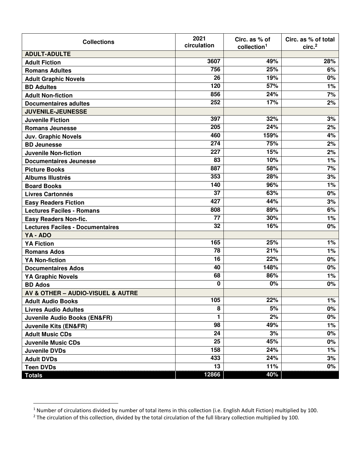| <b>Collections</b>                      | 2021<br>circulation | Circ. as % of<br>collection <sup>1</sup> | Circ. as % of total<br>circ. <sup>2</sup> |
|-----------------------------------------|---------------------|------------------------------------------|-------------------------------------------|
| <b>ADULT-ADULTE</b>                     |                     |                                          |                                           |
| <b>Adult Fiction</b>                    | 3607                | 49%                                      | 28%                                       |
| <b>Romans Adultes</b>                   | 756                 | 25%                                      | 6%                                        |
| <b>Adult Graphic Novels</b>             | 26                  | 19%                                      | 0%                                        |
| <b>BD Adultes</b>                       | 120                 | 57%                                      | 1%                                        |
| <b>Adult Non-fiction</b>                | 856                 | 24%                                      | 7%                                        |
| <b>Documentaires adultes</b>            | 252                 | 17%                                      | 2%                                        |
| <b>JUVENILE-JEUNESSE</b>                |                     |                                          |                                           |
| <b>Juvenile Fiction</b>                 | 397                 | 32%                                      | 3%                                        |
| <b>Romans Jeunesse</b>                  | 205                 | 24%                                      | 2%                                        |
| <b>Juv. Graphic Novels</b>              | 460                 | 159%                                     | 4%                                        |
| <b>BD Jeunesse</b>                      | 274                 | 75%                                      | 2%                                        |
| <b>Juvenile Non-fiction</b>             | 227                 | 15%                                      | 2%                                        |
| <b>Documentaires Jeunesse</b>           | 83                  | 10%                                      | 1%                                        |
| <b>Picture Books</b>                    | 887                 | 58%                                      | 7%                                        |
| <b>Albums Illustrés</b>                 | 353                 | 28%                                      | 3%                                        |
| <b>Board Books</b>                      | 140                 | 96%                                      | 1%                                        |
| <b>Livres Cartonnés</b>                 | 37                  | 63%                                      | 0%                                        |
| <b>Easy Readers Fiction</b>             | 427                 | 44%                                      | 3%                                        |
| <b>Lectures Faciles - Romans</b>        | 808                 | 89%                                      | 6%                                        |
| <b>Easy Readers Non-fic.</b>            | 77                  | 30%                                      | 1%                                        |
| <b>Lectures Faciles - Documentaires</b> | 32                  | 16%                                      | 0%                                        |
| YA - ADO                                |                     |                                          |                                           |
| <b>YA Fiction</b>                       | 165                 | 25%                                      | 1%                                        |
| <b>Romans Ados</b>                      | $\overline{78}$     | 21%                                      | 1%                                        |
| <b>YA Non-fiction</b>                   | 16                  | 22%                                      | 0%                                        |
| <b>Documentaires Ados</b>               | 40                  | 148%                                     | 0%                                        |
| <b>YA Graphic Novels</b>                | 68                  | 86%                                      | 1%                                        |
| <b>BD Ados</b>                          | 0                   | 0%                                       | 0%                                        |
| AV & OTHER - AUDIO-VISUEL & AUTRE       |                     |                                          |                                           |
| <b>Adult Audio Books</b>                | 105                 | 22%                                      | 1%                                        |
| <b>Livres Audio Adultes</b>             | 8                   | 5%                                       | 0%                                        |
| <b>Juvenile Audio Books (EN&amp;FR)</b> | 1                   | 2%                                       | $0\%$                                     |
| <b>Juvenile Kits (EN&amp;FR)</b>        | 98                  | 49%                                      | 1%                                        |
| <b>Adult Music CDs</b>                  | 24                  | 3%                                       | 0%                                        |
| <b>Juvenile Music CDs</b>               | 25                  | 45%                                      | $0\%$                                     |
| <b>Juvenile DVDs</b>                    | 158                 | 24%                                      | 1%                                        |
| <b>Adult DVDs</b>                       | 433                 | 24%                                      | 3%                                        |
| <b>Teen DVDs</b>                        | 13                  | 11%                                      | $0\%$                                     |
| <b>Totals</b>                           | 12866               | 40%                                      |                                           |

 $\overline{a}$ 

<sup>&</sup>lt;sup>1</sup> Number of circulations divided by number of total items in this collection (i.e. English Adult Fiction) multiplied by 100.<br><sup>2</sup> The circulation of this collection, divided by the total circulation of the full library co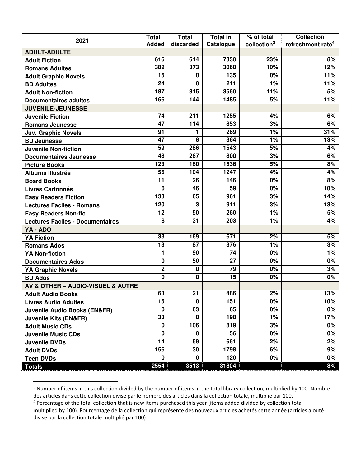|                                         | <b>Total</b>    | <b>Total</b> | <b>Total in</b> | % of total              | <b>Collection</b>             |
|-----------------------------------------|-----------------|--------------|-----------------|-------------------------|-------------------------------|
| 2021                                    | <b>Added</b>    | discarded    | Catalogue       | collection <sup>3</sup> | refreshment rate <sup>4</sup> |
| <b>ADULT-ADULTE</b>                     |                 |              |                 |                         |                               |
| <b>Adult Fiction</b>                    | 616             | 614          | 7330            | 23%                     | 8%                            |
| <b>Romans Adultes</b>                   | 382             | 373          | 3060            | 10%                     | 12%                           |
| <b>Adult Graphic Novels</b>             | 15              | 0            | 135             | 0%                      | 11%                           |
| <b>BD Adultes</b>                       | 24              | 0            | 211             | 1%                      | 11%                           |
| <b>Adult Non-fiction</b>                | 187             | 315          | 3560            | 11%                     | 5%                            |
| <b>Documentaires adultes</b>            | 166             | 144          | 1485            | 5%                      | 11%                           |
| <b>JUVENILE-JEUNESSE</b>                |                 |              |                 |                         |                               |
| <b>Juvenile Fiction</b>                 | 74              | 211          | 1255            | 4%                      | 6%                            |
| <b>Romans Jeunesse</b>                  | $\overline{47}$ | 114          | 853             | 3%                      | 6%                            |
| <b>Juv. Graphic Novels</b>              | 91              | 1            | 289             | 1%                      | 31%                           |
| <b>BD Jeunesse</b>                      | 47              | 8            | 364             | 1%                      | 13%                           |
| <b>Juvenile Non-fiction</b>             | 59              | 286          | 1543            | 5%                      | 4%                            |
| <b>Documentaires Jeunesse</b>           | 48              | 267          | 800             | 3%                      | 6%                            |
| <b>Picture Books</b>                    | 123             | 180          | 1536            | 5%                      | 8%                            |
| <b>Albums Illustrés</b>                 | 55              | 104          | 1247            | 4%                      | 4%                            |
| <b>Board Books</b>                      | 11              | 26           | 146             | 0%                      | 8%                            |
| <b>Livres Cartonnés</b>                 | 6               | 46           | 59              | 0%                      | 10%                           |
| <b>Easy Readers Fiction</b>             | 133             | 65           | 961             | 3%                      | 14%                           |
| <b>Lectures Faciles - Romans</b>        | 120             | 3            | 911             | 3%                      | 13%                           |
| <b>Easy Readers Non-fic.</b>            | 12              | 50           | 260             | 1%                      | 5%                            |
| <b>Lectures Faciles - Documentaires</b> | 8               | 31           | 203             | 1%                      | 4%                            |
| YA - ADO                                |                 |              |                 |                         |                               |
| <b>YA Fiction</b>                       | 33              | 169          | 671             | 2%                      | 5%                            |
| <b>Romans Ados</b>                      | 13              | 87           | 376             | 1%                      | 3%                            |
| <b>YA Non-fiction</b>                   | $\mathbf{1}$    | 90           | 74              | 0%                      | 1%                            |
| <b>Documentaires Ados</b>               | $\mathbf 0$     | 50           | $\overline{27}$ | 0%                      | 0%                            |
| <b>YA Graphic Novels</b>                | $\overline{2}$  | 0            | 79              | 0%                      | 3%                            |
| <b>BD Ados</b>                          | $\mathbf 0$     | 0            | 15              | 0%                      | 0%                            |
| AV & OTHER - AUDIO-VISUEL & AUTRE       |                 |              |                 |                         |                               |
| <b>Adult Audio Books</b>                | 63              | 21           | 486             | 2%                      | 13%                           |
| <b>Livres Audio Adultes</b>             | 15              | $\mathbf 0$  | 151             | $0\%$                   | 10%                           |
| <b>Juvenile Audio Books (EN&amp;FR)</b> | $\bf{0}$        | 63           | 65              | 0%                      | $0\%$                         |
| <b>Juvenile Kits (EN&amp;FR)</b>        | 33              | $\mathbf 0$  | 198             | 1%                      | 17%                           |
| <b>Adult Music CDs</b>                  | $\mathbf 0$     | 106          | 819             | 3%                      | 0%                            |
| <b>Juvenile Music CDs</b>               | $\mathbf 0$     | $\mathbf 0$  | 56              | 0%                      | 0%                            |
| Juvenile DVDs                           | 14              | 59           | 661             | 2%                      | 2%                            |
| <b>Adult DVDs</b>                       | 156             | 30           | 1798            | 6%                      | 9%                            |
| <b>Teen DVDs</b>                        | $\mathbf 0$     | $\mathbf 0$  | 120             | 0%                      | $0\%$                         |
| <b>Totals</b>                           | 2554            | 3513         | 31804           |                         | 8%                            |

<sup>&</sup>lt;sup>3</sup> Number of items in this collection divided by the number of items in the total library collection, multiplied by 100. Nombre des articles dans cette collection divisé par le nombre des articles dans la collection totale, multiplié par 100.

 $\overline{a}$ 

<sup>&</sup>lt;sup>4</sup> Percentage of the total collection that is new items purchased this year (items added divided by collection total

multiplied by 100). Pourcentage de la collection qui représente des nouveaux articles achetés cette année (articles ajouté divisé par la collection totale multiplié par 100).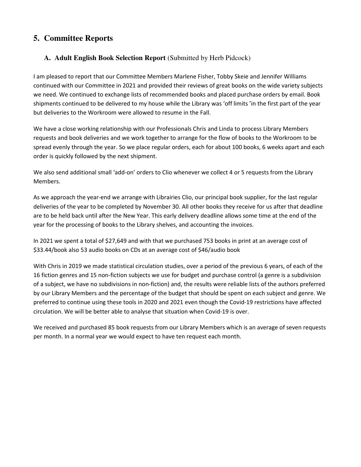### **5. Committee Reports**

### **A. Adult English Book Selection Report** (Submitted by Herb Pidcock)

I am pleased to report that our Committee Members Marlene Fisher, Tobby Skeie and Jennifer Williams continued with our Committee in 2021 and provided their reviews of great books on the wide variety subjects we need. We continued to exchange lists of recommended books and placed purchase orders by email. Book shipments continued to be delivered to my house while the Library was 'off limits 'in the first part of the year but deliveries to the Workroom were allowed to resume in the Fall.

We have a close working relationship with our Professionals Chris and Linda to process Library Members requests and book deliveries and we work together to arrange for the flow of books to the Workroom to be spread evenly through the year. So we place regular orders, each for about 100 books, 6 weeks apart and each order is quickly followed by the next shipment.

We also send additional small 'add-on' orders to Clio whenever we collect 4 or 5 requests from the Library Members.

As we approach the year-end we arrange with Librairies Clio, our principal book supplier, for the last regular deliveries of the year to be completed by November 30. All other books they receive for us after that deadline are to be held back until after the New Year. This early delivery deadline allows some time at the end of the year for the processing of books to the Library shelves, and accounting the invoices.

In 2021 we spent a total of \$27,649 and with that we purchased 753 books in print at an average cost of \$33.44/book also 53 audio books on CDs at an average cost of \$46/audio book

With Chris in 2019 we made statistical circulation studies, over a period of the previous 6 years, of each of the 16 fiction genres and 15 non-fiction subjects we use for budget and purchase control (a genre is a subdivision of a subject, we have no subdivisions in non-fiction) and, the results were reliable lists of the authors preferred by our Library Members and the percentage of the budget that should be spent on each subject and genre. We preferred to continue using these tools in 2020 and 2021 even though the Covid-19 restrictions have affected circulation. We will be better able to analyse that situation when Covid-19 is over.

We received and purchased 85 book requests from our Library Members which is an average of seven requests per month. In a normal year we would expect to have ten request each month.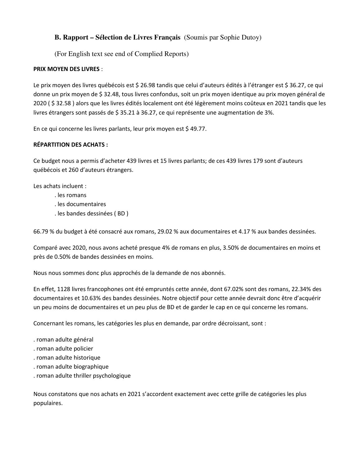### **B. Rapport – Sélection de Livres Français** (Soumis par Sophie Dutoy)

(For English text see end of Complied Reports)

### **PRIX MOYEN DES LIVRES** :

Le prix moyen des livres québécois est \$ 26.98 tandis que celui d'auteurs édités à l'étranger est \$ 36.27, ce qui donne un prix moyen de \$ 32.48, tous livres confondus, soit un prix moyen identique au prix moyen général de 2020 ( \$ 32.58 ) alors que les livres édités localement ont été légèrement moins coûteux en 2021 tandis que les livres étrangers sont passés de \$ 35.21 à 36.27, ce qui représente une augmentation de 3%.

En ce qui concerne les livres parlants, leur prix moyen est \$ 49.77.

### **RÉPARTITION DES ACHATS :**

Ce budget nous a permis d'acheter 439 livres et 15 livres parlants; de ces 439 livres 179 sont d'auteurs québécois et 260 d'auteurs étrangers.

Les achats incluent :

- . les romans
- . les documentaires
- . les bandes dessinées ( BD )

66.79 % du budget à été consacré aux romans, 29.02 % aux documentaires et 4.17 % aux bandes dessinées.

Comparé avec 2020, nous avons acheté presque 4% de romans en plus, 3.50% de documentaires en moins et près de 0.50% de bandes dessinées en moins.

Nous nous sommes donc plus approchés de la demande de nos abonnés.

En effet, 1128 livres francophones ont été empruntés cette année, dont 67.02% sont des romans, 22.34% des documentaires et 10.63% des bandes dessinées. Notre objectif pour cette année devrait donc être d'acquérir un peu moins de documentaires et un peu plus de BD et de garder le cap en ce qui concerne les romans.

Concernant les romans, les catégories les plus en demande, par ordre décroissant, sont :

- . roman adulte général
- . roman adulte policier
- . roman adulte historique
- . roman adulte biographique
- . roman adulte thriller psychologique

Nous constatons que nos achats en 2021 s'accordent exactement avec cette grille de catégories les plus populaires.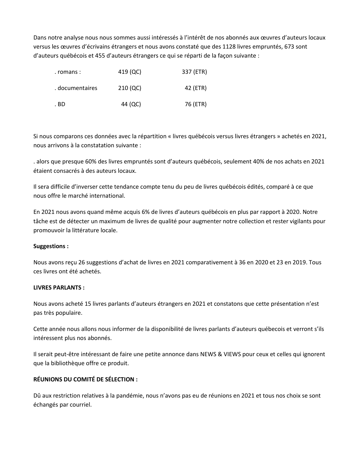Dans notre analyse nous nous sommes aussi intéressés à l'intérêt de nos abonnés aux œuvres d'auteurs locaux versus les œuvres d'écrivains étrangers et nous avons constaté que des 1128 livres empruntés, 673 sont d'auteurs québécois et 455 d'auteurs étrangers ce qui se réparti de la façon suivante :

| . romans :      | 419 (QC) | 337 (ETR) |
|-----------------|----------|-----------|
| . documentaires | 210 (QC) | 42 (ETR)  |
| . BD            | 44 (QC)  | 76 (ETR)  |

Si nous comparons ces données avec la répartition « livres québécois versus livres étrangers » achetés en 2021, nous arrivons à la constatation suivante :

. alors que presque 60% des livres empruntés sont d'auteurs québécois, seulement 40% de nos achats en 2021 étaient consacrés à des auteurs locaux.

Il sera difficile d'inverser cette tendance compte tenu du peu de livres québécois édités, comparé à ce que nous offre le marché international.

En 2021 nous avons quand même acquis 6% de livres d'auteurs québécois en plus par rapport à 2020. Notre tâche est de détecter un maximum de livres de qualité pour augmenter notre collection et rester vigilants pour promouvoir la littérature locale.

### **Suggestions :**

Nous avons reçu 26 suggestions d'achat de livres en 2021 comparativement à 36 en 2020 et 23 en 2019. Tous ces livres ont été achetés.

#### **LIVRES PARLANTS :**

Nous avons acheté 15 livres parlants d'auteurs étrangers en 2021 et constatons que cette présentation n'est pas très populaire.

Cette année nous allons nous informer de la disponibilité de livres parlants d'auteurs québecois et verront s'ils intéressent plus nos abonnés.

Il serait peut-être intéressant de faire une petite annonce dans NEWS & VIEWS pour ceux et celles qui ignorent que la bibliothèque offre ce produit.

### **RÉUNIONS DU COMITÉ DE SÉLECTION :**

Dû aux restriction relatives à la pandémie, nous n'avons pas eu de réunions en 2021 et tous nos choix se sont échangés par courriel.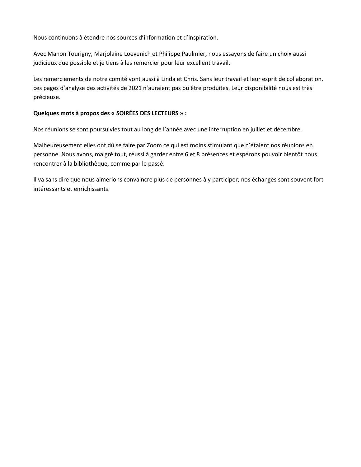Nous continuons à étendre nos sources d'information et d'inspiration.

Avec Manon Tourigny, Marjolaine Loevenich et Philippe Paulmier, nous essayons de faire un choix aussi judicieux que possible et je tiens à les remercier pour leur excellent travail.

Les remerciements de notre comité vont aussi à Linda et Chris. Sans leur travail et leur esprit de collaboration, ces pages d'analyse des activités de 2021 n'auraient pas pu être produites. Leur disponibilité nous est très précieuse.

#### **Quelques mots à propos des « SOIRÉES DES LECTEURS » :**

Nos réunions se sont poursuivies tout au long de l'année avec une interruption en juillet et décembre.

Malheureusement elles ont dû se faire par Zoom ce qui est moins stimulant que n'étaient nos réunions en personne. Nous avons, malgré tout, réussi à garder entre 6 et 8 présences et espérons pouvoir bientôt nous rencontrer à la bibliothèque, comme par le passé.

Il va sans dire que nous aimerions convaincre plus de personnes à y participer; nos échanges sont souvent fort intéressants et enrichissants.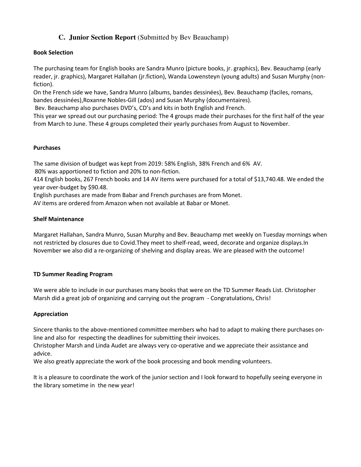### **C. Junior Section Report** (Submitted by Bev Beauchamp)

#### **Book Selection**

The purchasing team for English books are Sandra Munro (picture books, jr. graphics), Bev. Beauchamp (early reader, jr. graphics), Margaret Hallahan (jr.fiction), Wanda Lowensteyn (young adults) and Susan Murphy (nonfiction).

On the French side we have, Sandra Munro (albums, bandes dessinées), Bev. Beauchamp (faciles, romans, bandes dessinées),Roxanne Nobles-Gill (ados) and Susan Murphy (documentaires).

Bev. Beauchamp also purchases DVD's, CD's and kits in both English and French.

This year we spread out our purchasing period: The 4 groups made their purchases for the first half of the year from March to June. These 4 groups completed their yearly purchases from August to November.

### **Purchases**

The same division of budget was kept from 2019: 58% English, 38% French and 6% AV.

80% was apportioned to fiction and 20% to non-fiction.

414 English books, 267 French books and 14 AV items were purchased for a total of \$13,740.48. We ended the year over-budget by \$90.48.

English purchases are made from Babar and French purchases are from Monet.

AV items are ordered from Amazon when not available at Babar or Monet.

#### **Shelf Maintenance**

Margaret Hallahan, Sandra Munro, Susan Murphy and Bev. Beauchamp met weekly on Tuesday mornings when not restricted by closures due to Covid.They meet to shelf-read, weed, decorate and organize displays.In November we also did a re-organizing of shelving and display areas. We are pleased with the outcome!

### **TD Summer Reading Program**

We were able to include in our purchases many books that were on the TD Summer Reads List. Christopher Marsh did a great job of organizing and carrying out the program - Congratulations, Chris!

#### **Appreciation**

Sincere thanks to the above-mentioned committee members who had to adapt to making there purchases online and also for respecting the deadlines for submitting their invoices.

Christopher Marsh and Linda Audet are always very co-operative and we appreciate their assistance and advice.

We also greatly appreciate the work of the book processing and book mending volunteers.

It is a pleasure to coordinate the work of the junior section and I look forward to hopefully seeing everyone in the library sometime in the new year!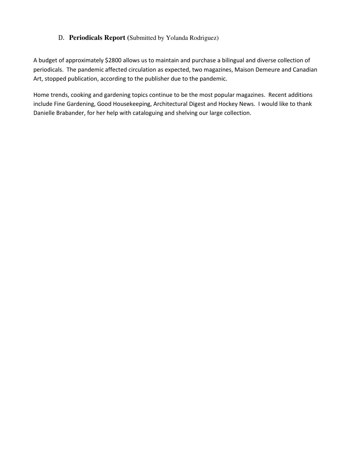### D. **Periodicals Report (**Submitted by Yolanda Rodriguez)

A budget of approximately \$2800 allows us to maintain and purchase a bilingual and diverse collection of periodicals. The pandemic affected circulation as expected, two magazines, Maison Demeure and Canadian Art, stopped publication, according to the publisher due to the pandemic.

Home trends, cooking and gardening topics continue to be the most popular magazines. Recent additions include Fine Gardening, Good Housekeeping, Architectural Digest and Hockey News. I would like to thank Danielle Brabander, for her help with cataloguing and shelving our large collection.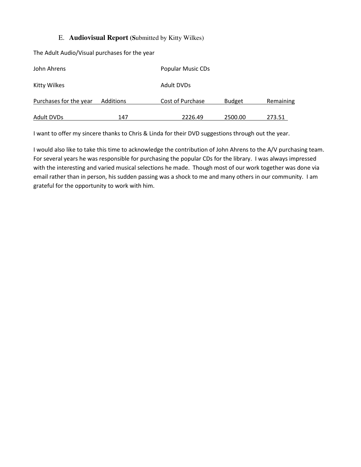### E. **Audiovisual Report (S**ubmitted by Kitty Wilkes)

The Adult Audio/Visual purchases for the year

| John Ahrens            |           | Popular Music CDs |               |           |  |
|------------------------|-----------|-------------------|---------------|-----------|--|
| Kitty Wilkes           |           | Adult DVDs        |               |           |  |
| Purchases for the year | Additions | Cost of Purchase  | <b>Budget</b> | Remaining |  |
| Adult DVDs             | 147       | 2226.49           | 2500.00       | 273.51    |  |

I want to offer my sincere thanks to Chris & Linda for their DVD suggestions through out the year.

I would also like to take this time to acknowledge the contribution of John Ahrens to the A/V purchasing team. For several years he was responsible for purchasing the popular CDs for the library. I was always impressed with the interesting and varied musical selections he made. Though most of our work together was done via email rather than in person, his sudden passing was a shock to me and many others in our community. I am grateful for the opportunity to work with him.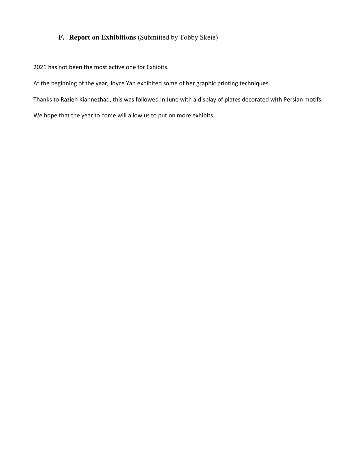### **F. Report on Exhibitions** (Submitted by Tobby Skeie)

2021 has not been the most active one for Exhibits.

At the beginning of the year, Joyce Yan exhibited some of her graphic printing techniques.

Thanks to Razieh Kiannezhad, this was followed in June with a display of plates decorated with Persian motifs.

We hope that the year to come will allow us to put on more exhibits.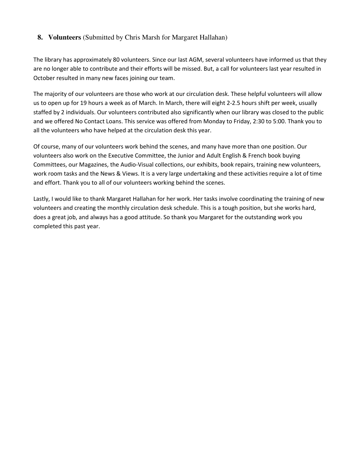### **8. Volunteers** (Submitted by Chris Marsh for Margaret Hallahan)

The library has approximately 80 volunteers. Since our last AGM, several volunteers have informed us that they are no longer able to contribute and their efforts will be missed. But, a call for volunteers last year resulted in October resulted in many new faces joining our team.

The majority of our volunteers are those who work at our circulation desk. These helpful volunteers will allow us to open up for 19 hours a week as of March. In March, there will eight 2-2.5 hours shift per week, usually staffed by 2 individuals. Our volunteers contributed also significantly when our library was closed to the public and we offered No Contact Loans. This service was offered from Monday to Friday, 2:30 to 5:00. Thank you to all the volunteers who have helped at the circulation desk this year.

Of course, many of our volunteers work behind the scenes, and many have more than one position. Our volunteers also work on the Executive Committee, the Junior and Adult English & French book buying Committees, our Magazines, the Audio-Visual collections, our exhibits, book repairs, training new volunteers, work room tasks and the News & Views. It is a very large undertaking and these activities require a lot of time and effort. Thank you to all of our volunteers working behind the scenes.

Lastly, I would like to thank Margaret Hallahan for her work. Her tasks involve coordinating the training of new volunteers and creating the monthly circulation desk schedule. This is a tough position, but she works hard, does a great job, and always has a good attitude. So thank you Margaret for the outstanding work you completed this past year.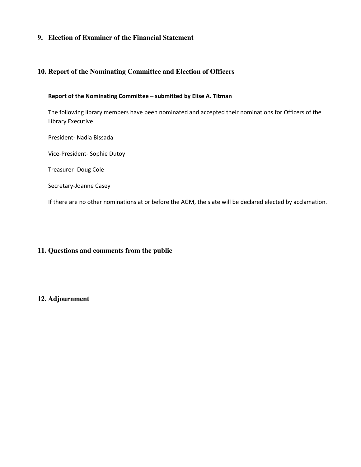### **9. Election of Examiner of the Financial Statement**

### **10. Report of the Nominating Committee and Election of Officers**

#### **Report of the Nominating Committee – submitted by Elise A. Titman**

The following library members have been nominated and accepted their nominations for Officers of the Library Executive.

President- Nadia Bissada

Vice-President- Sophie Dutoy

Treasurer- Doug Cole

Secretary-Joanne Casey

If there are no other nominations at or before the AGM, the slate will be declared elected by acclamation.

#### **11. Questions and comments from the public**

#### **12. Adjournment**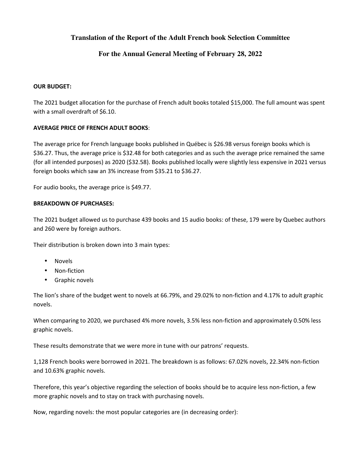### **Translation of the Report of the Adult French book Selection Committee**

### **For the Annual General Meeting of February 28, 2022**

#### **OUR BUDGET:**

The 2021 budget allocation for the purchase of French adult books totaled \$15,000. The full amount was spent with a small overdraft of \$6.10.

#### **AVERAGE PRICE OF FRENCH ADULT BOOKS**:

The average price for French language books published in Québec is \$26.98 versus foreign books which is \$36.27. Thus, the average price is \$32.48 for both categories and as such the average price remained the same (for all intended purposes) as 2020 (\$32.58). Books published locally were slightly less expensive in 2021 versus foreign books which saw an 3% increase from \$35.21 to \$36.27.

For audio books, the average price is \$49.77.

#### **BREAKDOWN OF PURCHASES:**

The 2021 budget allowed us to purchase 439 books and 15 audio books: of these, 179 were by Quebec authors and 260 were by foreign authors.

Their distribution is broken down into 3 main types:

- Novels
- Non-fiction
- Graphic novels

The lion's share of the budget went to novels at 66.79%, and 29.02% to non-fiction and 4.17% to adult graphic novels.

When comparing to 2020, we purchased 4% more novels, 3.5% less non-fiction and approximately 0.50% less graphic novels.

These results demonstrate that we were more in tune with our patrons' requests.

1,128 French books were borrowed in 2021. The breakdown is as follows: 67.02% novels, 22.34% non-fiction and 10.63% graphic novels.

Therefore, this year's objective regarding the selection of books should be to acquire less non-fiction, a few more graphic novels and to stay on track with purchasing novels.

Now, regarding novels: the most popular categories are (in decreasing order):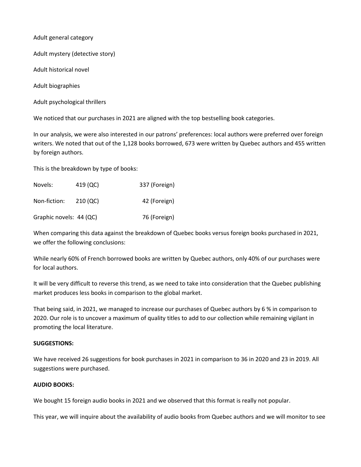Adult general category

Adult mystery (detective story)

Adult historical novel

Adult biographies

Adult psychological thrillers

We noticed that our purchases in 2021 are aligned with the top bestselling book categories.

In our analysis, we were also interested in our patrons' preferences: local authors were preferred over foreign writers. We noted that out of the 1,128 books borrowed, 673 were written by Quebec authors and 455 written by foreign authors.

This is the breakdown by type of books:

| Novels:                 | 419 (QC) | 337 (Foreign) |
|-------------------------|----------|---------------|
| Non-fiction:            | 210 (QC) | 42 (Foreign)  |
| Graphic novels: 44 (QC) |          | 76 (Foreign)  |

When comparing this data against the breakdown of Quebec books versus foreign books purchased in 2021, we offer the following conclusions:

While nearly 60% of French borrowed books are written by Quebec authors, only 40% of our purchases were for local authors.

It will be very difficult to reverse this trend, as we need to take into consideration that the Quebec publishing market produces less books in comparison to the global market.

That being said, in 2021, we managed to increase our purchases of Quebec authors by 6 % in comparison to 2020. Our role is to uncover a maximum of quality titles to add to our collection while remaining vigilant in promoting the local literature.

#### **SUGGESTIONS:**

We have received 26 suggestions for book purchases in 2021 in comparison to 36 in 2020 and 23 in 2019. All suggestions were purchased.

#### **AUDIO BOOKS:**

We bought 15 foreign audio books in 2021 and we observed that this format is really not popular.

This year, we will inquire about the availability of audio books from Quebec authors and we will monitor to see